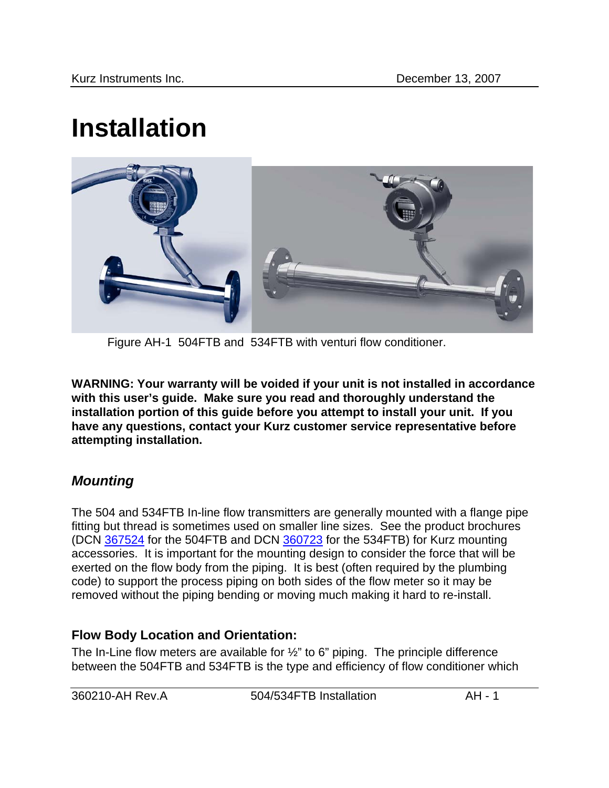# **Installation**



Figure AH-1 504FTB and 534FTB with venturi flow conditioner.

**WARNING: Your warranty will be voided if your unit is not installed in accordance with this user's guide. Make sure you read and thoroughly understand the installation portion of this guide before you attempt to install your unit. If you have any questions, contact your Kurz customer service representative before attempting installation.** 

# *Mounting*

The 504 and 534FTB In-line flow transmitters are generally mounted with a flange pipe fitting but thread is sometimes used on smaller line sizes. See the product brochures (DCN 367524 for the 504FTB and DCN 360723 for the 534FTB) for Kurz mounting accessories. It is important for the mounting design to consider the force that will be exerted on the flow body from the piping. It is best (often required by the plumbing code) to support the process piping on both sides of the flow meter so it may be removed without the piping bending or moving much making it hard to re-install.

## **Flow Body Location and Orientation:**

The In-Line flow meters are available for ½" to 6" piping. The principle difference between the 504FTB and 534FTB is the type and efficiency of flow conditioner which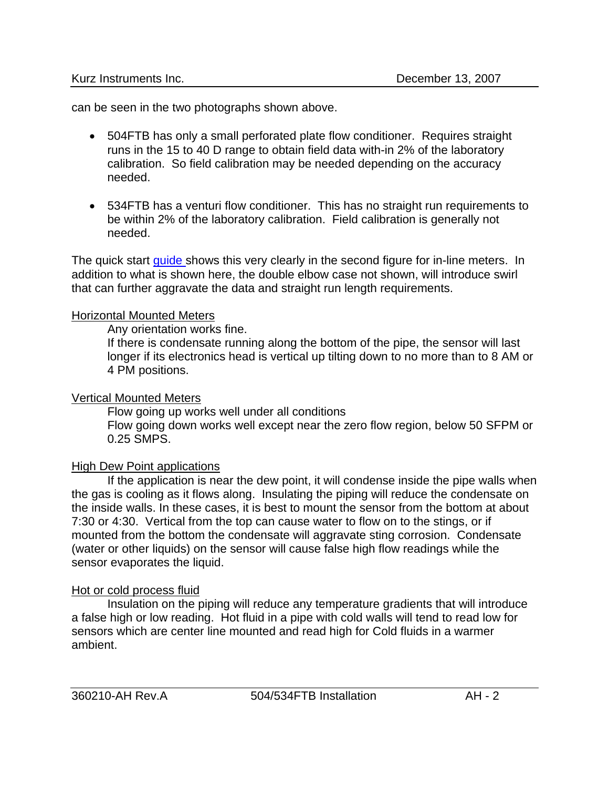can be seen in the two photographs shown above.

- 504FTB has only a small perforated plate flow conditioner. Requires straight runs in the 15 to 40 D range to obtain field data with-in 2% of the laboratory calibration. So field calibration may be needed depending on the accuracy needed.
- 534FTB has a venturi flow conditioner. This has no straight run requirements to be within 2% of the laboratory calibration. Field calibration is generally not needed.

The quick start *guide* shows this very clearly in the second figure for in-line meters. In addition to what is shown here, the double elbow case not shown, will introduce swirl that can further aggravate the data and straight run length requirements.

#### Horizontal Mounted Meters

Any orientation works fine.

If there is condensate running along the bottom of the pipe, the sensor will last longer if its electronics head is vertical up tilting down to no more than to 8 AM or 4 PM positions.

#### Vertical Mounted Meters

Flow going up works well under all conditions Flow going down works well except near the zero flow region, below 50 SFPM or 0.25 SMPS.

### High Dew Point applications

 If the application is near the dew point, it will condense inside the pipe walls when the gas is cooling as it flows along. Insulating the piping will reduce the condensate on the inside walls. In these cases, it is best to mount the sensor from the bottom at about 7:30 or 4:30. Vertical from the top can cause water to flow on to the stings, or if mounted from the bottom the condensate will aggravate sting corrosion. Condensate (water or other liquids) on the sensor will cause false high flow readings while the sensor evaporates the liquid.

#### Hot or cold process fluid

 Insulation on the piping will reduce any temperature gradients that will introduce a false high or low reading. Hot fluid in a pipe with cold walls will tend to read low for sensors which are center line mounted and read high for Cold fluids in a warmer ambient.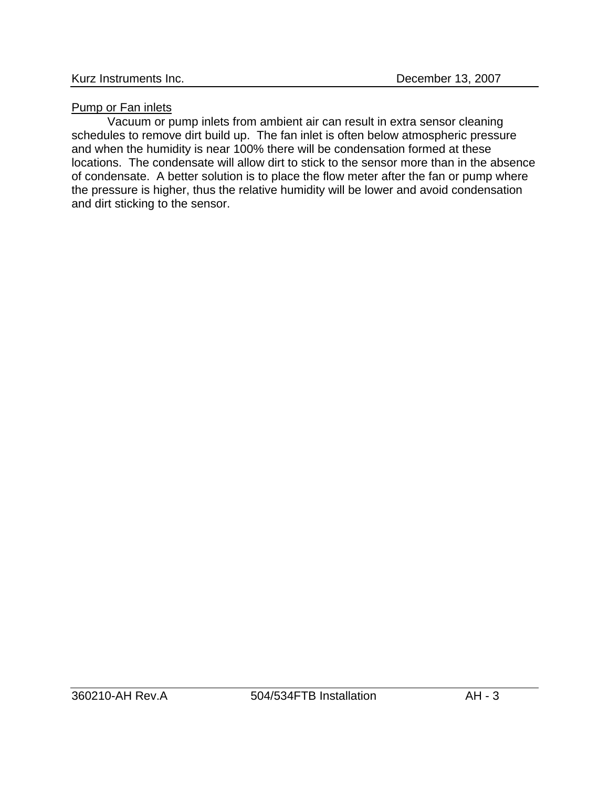## Pump or Fan inlets

Vacuum or pump inlets from ambient air can result in extra sensor cleaning schedules to remove dirt build up. The fan inlet is often below atmospheric pressure and when the humidity is near 100% there will be condensation formed at these locations. The condensate will allow dirt to stick to the sensor more than in the absence of condensate. A better solution is to place the flow meter after the fan or pump where the pressure is higher, thus the relative humidity will be lower and avoid condensation and dirt sticking to the sensor.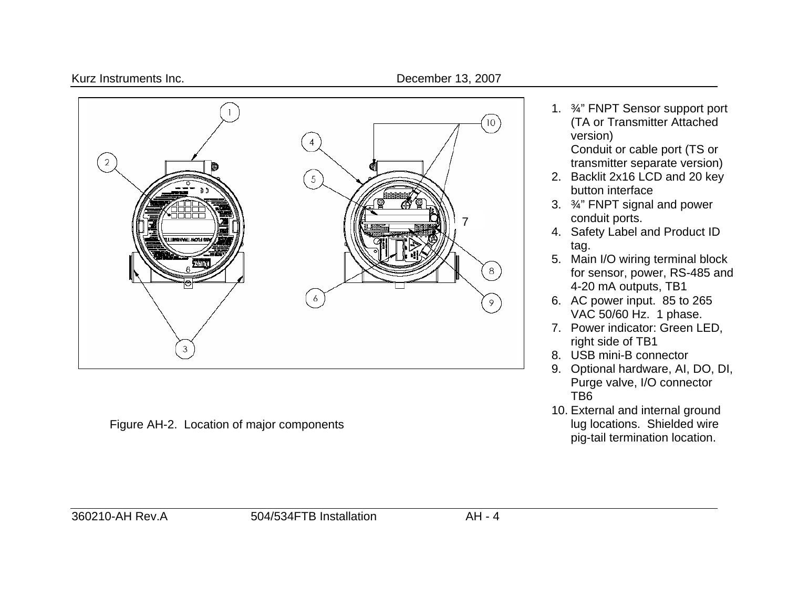



Figure AH-2. Location of major components

1. ¾" FNPT Sensor support port (TA or Transmitter Attached version)

Conduit or cable port (TS or transmitter separate version)

- 2. Backlit 2x16 LCD and 20 key button interface
- 3. ¾" FNPT signal and power conduit ports.
- 4. Safety Label and Product ID tag.
- 5. Main I/O wiring terminal block for sensor, power, RS-485 and 4-20 mA outputs, TB1
- 6. AC power input. 85 to 265 VAC 50/60 Hz. 1 phase.
- 7. Power indicator: Green LED, right side of TB1
- 8. USB mini-B connector
- 9. Optional hardware, AI, DO, DI, Purge valve, I/O connector TB6
- 10. External and internal ground lug locations. Shielded wire pig-tail termination location.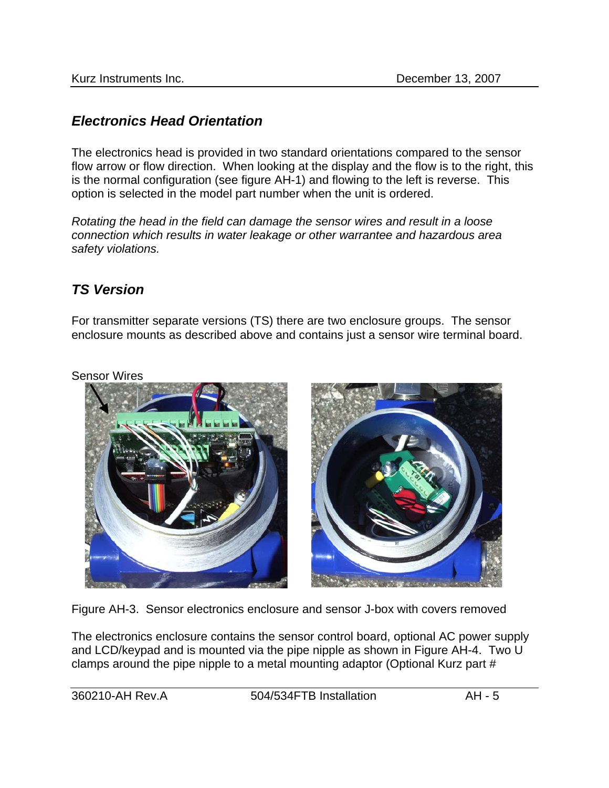## *Electronics Head Orientation*

The electronics head is provided in two standard orientations compared to the sensor flow arrow or flow direction. When looking at the display and the flow is to the right, this is the normal configuration (see figure AH-1) and flowing to the left is reverse. This option is selected in the model part number when the unit is ordered.

*Rotating the head in the field can damage the sensor wires and result in a loose connection which results in water leakage or other warrantee and hazardous area safety violations.* 

## *TS Version*

For transmitter separate versions (TS) there are two enclosure groups. The sensor enclosure mounts as described above and contains just a sensor wire terminal board.

Sensor Wires



Figure AH-3. Sensor electronics enclosure and sensor J-box with covers removed

The electronics enclosure contains the sensor control board, optional AC power supply and LCD/keypad and is mounted via the pipe nipple as shown in Figure AH-4. Two U clamps around the pipe nipple to a metal mounting adaptor (Optional Kurz part #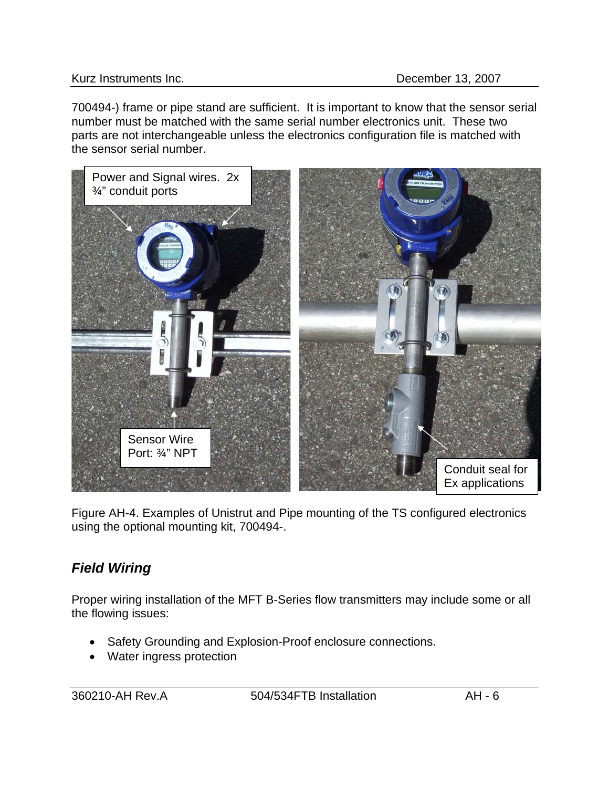#### Kurz Instruments Inc. **December 13, 2007**

700494-) frame or pipe stand are sufficient. It is important to know that the sensor serial number must be matched with the same serial number electronics unit. These two parts are not interchangeable unless the electronics configuration file is matched with the sensor serial number.



Figure AH-4. Examples of Unistrut and Pipe mounting of the TS configured electronics using the optional mounting kit, 700494-.

# *Field Wiring*

Proper wiring installation of the MFT B-Series flow transmitters may include some or all the flowing issues:

- Safety Grounding and Explosion-Proof enclosure connections.
- Water ingress protection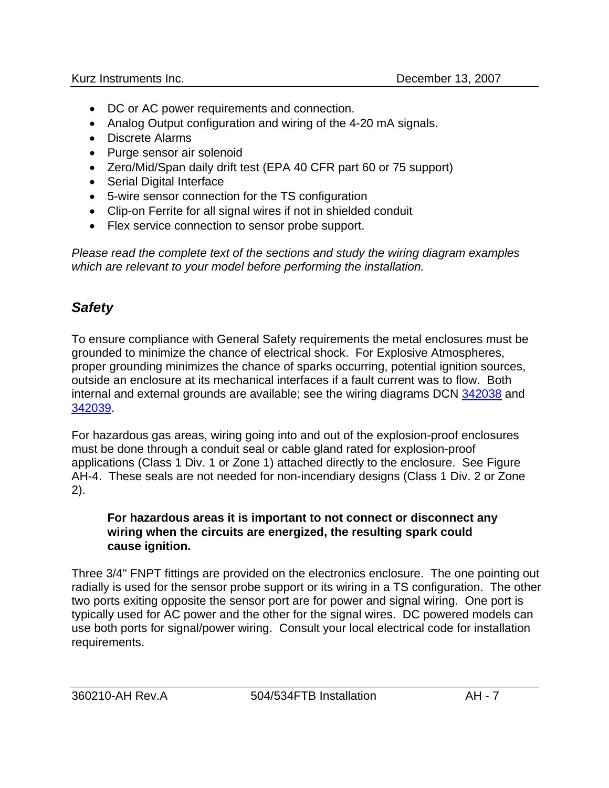- DC or AC power requirements and connection.
- Analog Output configuration and wiring of the 4-20 mA signals.
- Discrete Alarms
- Purge sensor air solenoid
- Zero/Mid/Span daily drift test (EPA 40 CFR part 60 or 75 support)
- Serial Digital Interface
- 5-wire sensor connection for the TS configuration
- Clip-on Ferrite for all signal wires if not in shielded conduit
- Flex service connection to sensor probe support.

*Please read the complete text of the sections and study the wiring diagram examples which are relevant to your model before performing the installation.*

# *Safety*

To ensure compliance with General Safety requirements the metal enclosures must be grounded to minimize the chance of electrical shock. For Explosive Atmospheres, proper grounding minimizes the chance of sparks occurring, potential ignition sources, outside an enclosure at its mechanical interfaces if a fault current was to flow. Both internal and external grounds are available; see the wiring diagrams DCN 342038 and 342039.

For hazardous gas areas, wiring going into and out of the explosion-proof enclosures must be done through a conduit seal or cable gland rated for explosion-proof applications (Class 1 Div. 1 or Zone 1) attached directly to the enclosure. See Figure AH-4. These seals are not needed for non-incendiary designs (Class 1 Div. 2 or Zone 2).

#### **For hazardous areas it is important to not connect or disconnect any wiring when the circuits are energized, the resulting spark could cause ignition.**

Three 3/4" FNPT fittings are provided on the electronics enclosure. The one pointing out radially is used for the sensor probe support or its wiring in a TS configuration. The other two ports exiting opposite the sensor port are for power and signal wiring. One port is typically used for AC power and the other for the signal wires. DC powered models can use both ports for signal/power wiring. Consult your local electrical code for installation requirements.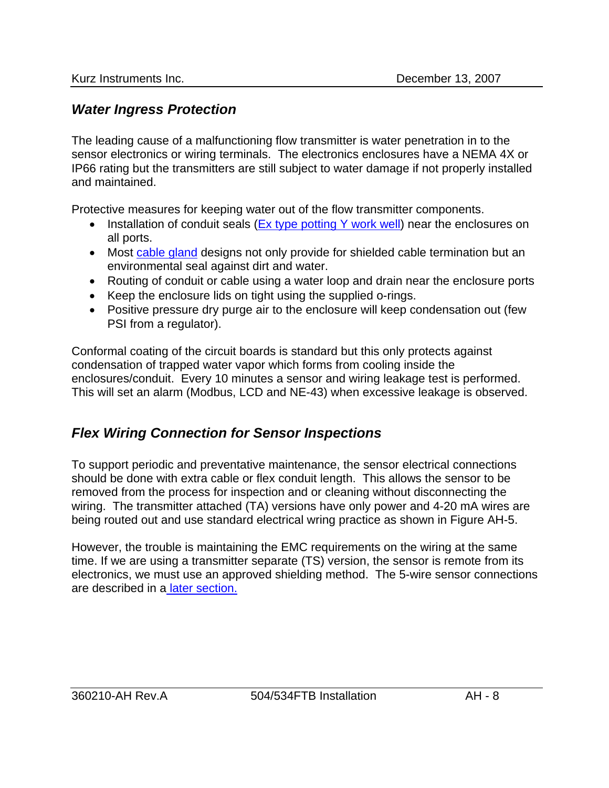# *Water Ingress Protection*

The leading cause of a malfunctioning flow transmitter is water penetration in to the sensor electronics or wiring terminals. The electronics enclosures have a NEMA 4X or IP66 rating but the transmitters are still subject to water damage if not properly installed and maintained.

Protective measures for keeping water out of the flow transmitter components.

- Installation of conduit seals (Ex type potting Y work well) near the enclosures on all ports.
- Most cable gland designs not only provide for shielded cable termination but an environmental seal against dirt and water.
- Routing of conduit or cable using a water loop and drain near the enclosure ports
- Keep the enclosure lids on tight using the supplied o-rings.
- Positive pressure dry purge air to the enclosure will keep condensation out (few PSI from a regulator).

Conformal coating of the circuit boards is standard but this only protects against condensation of trapped water vapor which forms from cooling inside the enclosures/conduit. Every 10 minutes a sensor and wiring leakage test is performed. This will set an alarm (Modbus, LCD and NE-43) when excessive leakage is observed.

# *Flex Wiring Connection for Sensor Inspections*

To support periodic and preventative maintenance, the sensor electrical connections should be done with extra cable or flex conduit length. This allows the sensor to be removed from the process for inspection and or cleaning without disconnecting the wiring. The transmitter attached (TA) versions have only power and 4-20 mA wires are being routed out and use standard electrical wring practice as shown in Figure AH-5.

However, the trouble is maintaining the EMC requirements on the wiring at the same time. If we are using a transmitter separate (TS) version, the sensor is remote from its electronics, we must use an approved shielding method. The 5-wire sensor connections are described in [a later section.](#page-14-0)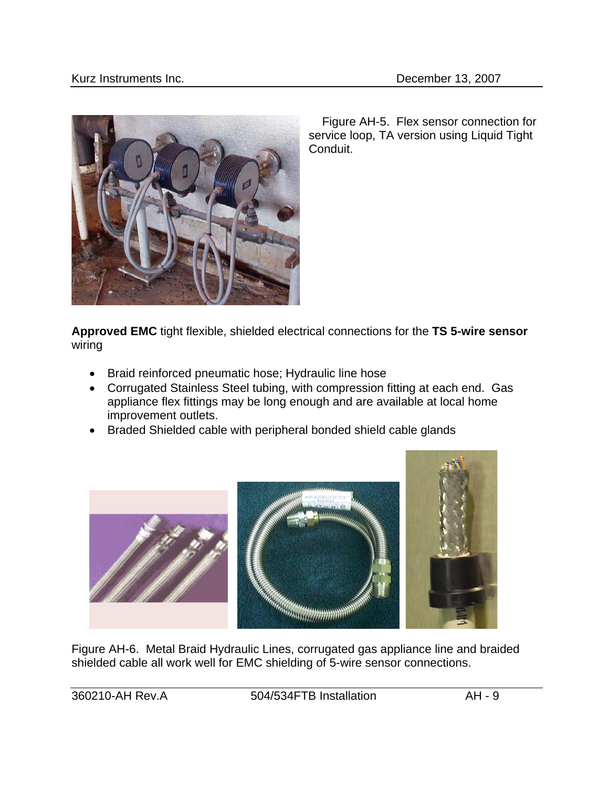<span id="page-8-0"></span>

 Figure AH-5. Flex sensor connection for service loop, TA version using Liquid Tight Conduit.

**Approved EMC** tight flexible, shielded electrical connections for the **TS 5-wire sensor** wiring

- Braid reinforced pneumatic hose; Hydraulic line hose
- Corrugated Stainless Steel tubing, with compression fitting at each end. Gas appliance flex fittings may be long enough and are available at local home improvement outlets.
- Braded Shielded cable with peripheral bonded shield cable glands



Figure AH-6. Metal Braid Hydraulic Lines, corrugated gas appliance line and braided shielded cable all work well for EMC shielding of 5-wire sensor connections.

360210-AH Rev.A 504/534FTB Installation AH - 9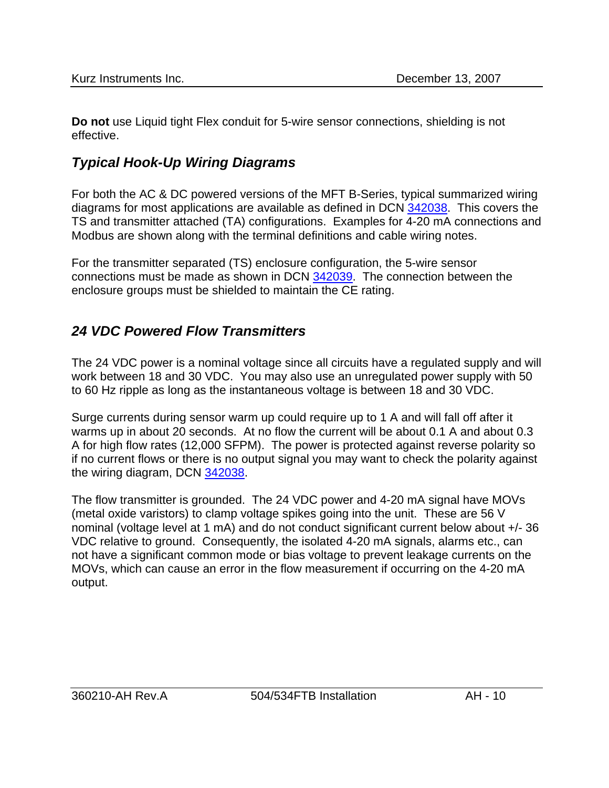**Do not** use Liquid tight Flex conduit for 5-wire sensor connections, shielding is not effective.

# *Typical Hook-Up Wiring Diagrams*

For both the AC & DC powered versions of the MFT B-Series, typical summarized wiring diagrams for most applications are available as defined in DCN 342038. This covers the TS and transmitter attached (TA) configurations. Examples for 4-20 mA connections and Modbus are shown along with the terminal definitions and cable wiring notes.

For the transmitter separated (TS) enclosure configuration, the 5-wire sensor connections must be made as shown in DCN 342039. The connection between the enclosure groups must be shielded to maintain the CE rating.

# *24 VDC Powered Flow Transmitters*

The 24 VDC power is a nominal voltage since all circuits have a regulated supply and will work between 18 and 30 VDC. You may also use an unregulated power supply with 50 to 60 Hz ripple as long as the instantaneous voltage is between 18 and 30 VDC.

Surge currents during sensor warm up could require up to 1 A and will fall off after it warms up in about 20 seconds. At no flow the current will be about 0.1 A and about 0.3 A for high flow rates (12,000 SFPM). The power is protected against reverse polarity so if no current flows or there is no output signal you may want to check the polarity against the wiring diagram, DCN 342038.

The flow transmitter is grounded. The 24 VDC power and 4-20 mA signal have MOVs (metal oxide varistors) to clamp voltage spikes going into the unit. These are 56 V nominal (voltage level at 1 mA) and do not conduct significant current below about +/- 36 VDC relative to ground. Consequently, the isolated 4-20 mA signals, alarms etc., can not have a significant common mode or bias voltage to prevent leakage currents on the MOVs, which can cause an error in the flow measurement if occurring on the 4-20 mA output.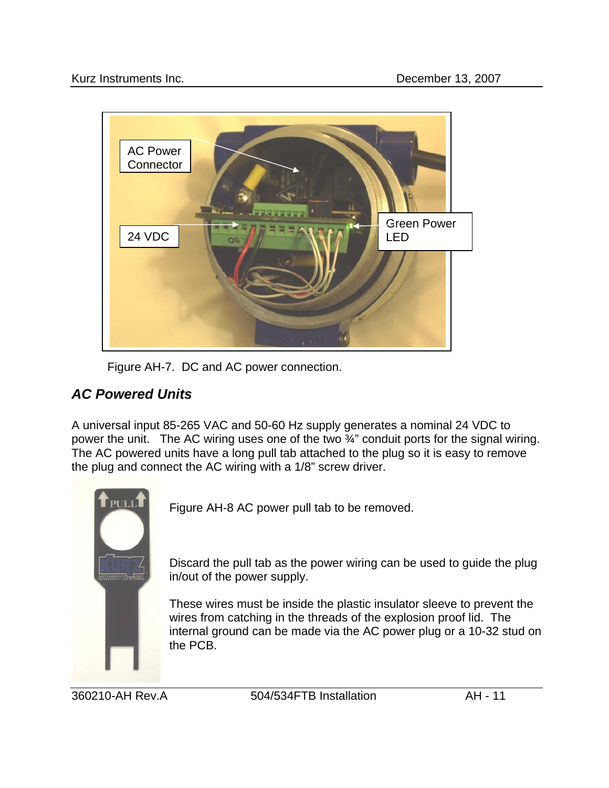

Figure AH-7. DC and AC power connection.

# *AC Powered Units*

A universal input 85-265 VAC and 50-60 Hz supply generates a nominal 24 VDC to power the unit. The AC wiring uses one of the two ¾" conduit ports for the signal wiring. The AC powered units have a long pull tab attached to the plug so it is easy to remove the plug and connect the AC wiring with a 1/8" screw driver.



Figure AH-8 AC power pull tab to be removed.

Discard the pull tab as the power wiring can be used to guide the plug in/out of the power supply.

These wires must be inside the plastic insulator sleeve to prevent the wires from catching in the threads of the explosion proof lid. The internal ground can be made via the AC power plug or a 10-32 stud on the PCB.

360210-AH Rev.A 504/534FTB Installation AH - 11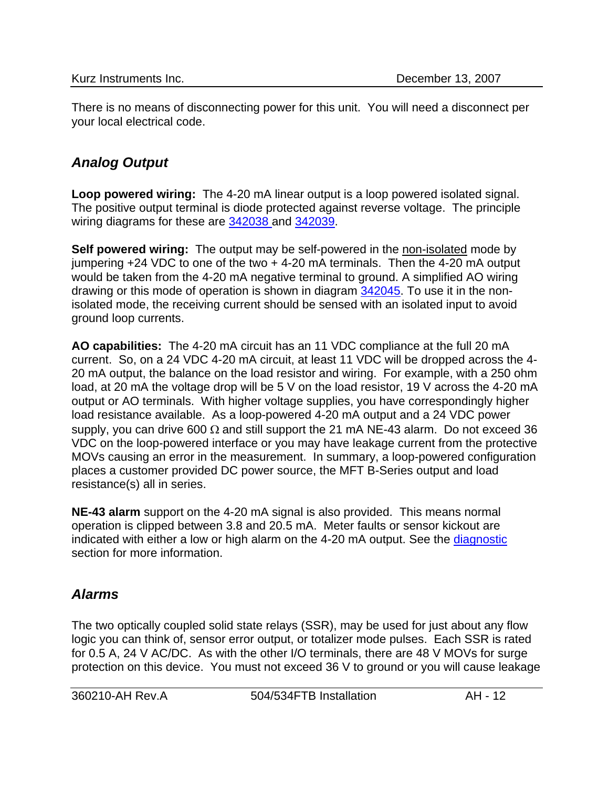There is no means of disconnecting power for this unit. You will need a disconnect per your local electrical code.

# *Analog Output*

**Loop powered wiring:** The 4-20 mA linear output is a loop powered isolated signal. The positive output terminal is diode protected against reverse voltage. The principle wiring diagrams for these are 342038 and 342039.

**Self powered wiring:** The output may be self-powered in the non-isolated mode by jumpering  $+24$  VDC to one of the two  $+4-20$  mA terminals. Then the 4-20 mA output would be taken from the 4-20 mA negative terminal to ground. A simplified AO wiring drawing or this mode of operation is shown in diagram 342045. To use it in the nonisolated mode, the receiving current should be sensed with an isolated input to avoid ground loop currents.

**AO capabilities:** The 4-20 mA circuit has an 11 VDC compliance at the full 20 mA current. So, on a 24 VDC 4-20 mA circuit, at least 11 VDC will be dropped across the 4- 20 mA output, the balance on the load resistor and wiring. For example, with a 250 ohm load, at 20 mA the voltage drop will be 5 V on the load resistor, 19 V across the 4-20 mA output or AO terminals. With higher voltage supplies, you have correspondingly higher load resistance available. As a loop-powered 4-20 mA output and a 24 VDC power supply, you can drive 600  $\Omega$  and still support the 21 mA NE-43 alarm. Do not exceed 36 VDC on the loop-powered interface or you may have leakage current from the protective MOVs causing an error in the measurement. In summary, a loop-powered configuration places a customer provided DC power source, the MFT B-Series output and load resistance(s) all in series.

**NE-43 alarm** support on the 4-20 mA signal is also provided. This means normal operation is clipped between 3.8 and 20.5 mA. Meter faults or sensor kickout are indicated with either a low or high alarm on the 4-20 mA output. See the diagnostic section for more information.

# *Alarms*

The two optically coupled solid state relays (SSR), may be used for just about any flow logic you can think of, sensor error output, or totalizer mode pulses. Each SSR is rated for 0.5 A, 24 V AC/DC. As with the other I/O terminals, there are 48 V MOVs for surge protection on this device. You must not exceed 36 V to ground or you will cause leakage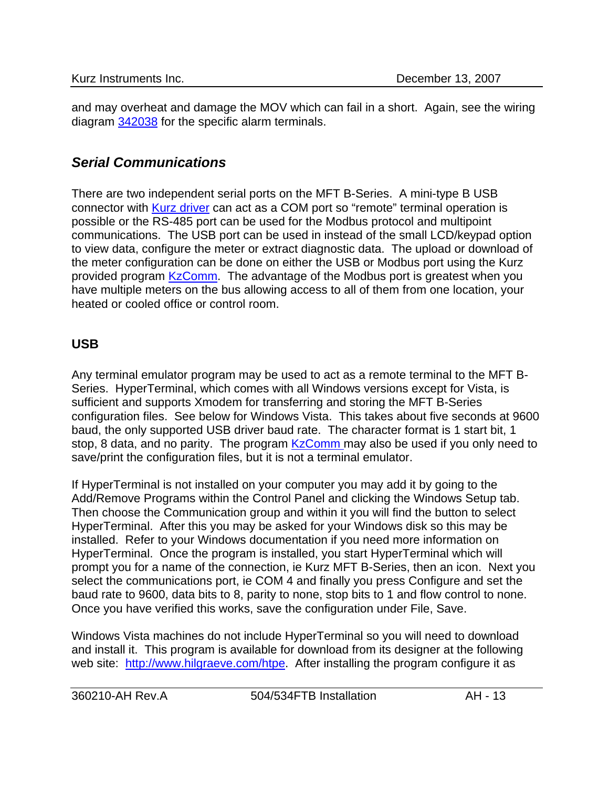and may overheat and damage the MOV which can fail in a short. Again, see the wiring diagram 342038 for the specific alarm terminals.

## *Serial Communications*

There are two independent serial ports on the MFT B-Series. A mini-type B USB connector with Kurz driver can act as a COM port so "remote" terminal operation is possible or the RS-485 port can be used for the Modbus protocol and multipoint communications. The USB port can be used in instead of the small LCD/keypad option to view data, configure the meter or extract diagnostic data. The upload or download of the meter configuration can be done on either the USB or Modbus port using the Kurz provided program KzComm. The advantage of the Modbus port is greatest when you have multiple meters on the bus allowing access to all of them from one location, your heated or cooled office or control room.

## **USB**

Any terminal emulator program may be used to act as a remote terminal to the MFT B-Series. HyperTerminal, which comes with all Windows versions except for Vista, is sufficient and supports Xmodem for transferring and storing the MFT B-Series configuration files. See below for Windows Vista. This takes about five seconds at 9600 baud, the only supported USB driver baud rate. The character format is 1 start bit, 1 stop, 8 data, and no parity. The program KzComm may also be used if you only need to save/print the configuration files, but it is not a terminal emulator.

If HyperTerminal is not installed on your computer you may add it by going to the Add/Remove Programs within the Control Panel and clicking the Windows Setup tab. Then choose the Communication group and within it you will find the button to select HyperTerminal. After this you may be asked for your Windows disk so this may be installed. Refer to your Windows documentation if you need more information on HyperTerminal. Once the program is installed, you start HyperTerminal which will prompt you for a name of the connection, ie Kurz MFT B-Series, then an icon. Next you select the communications port, ie COM 4 and finally you press Configure and set the baud rate to 9600, data bits to 8, parity to none, stop bits to 1 and flow control to none. Once you have verified this works, save the configuration under File, Save.

Windows Vista machines do not include HyperTerminal so you will need to download and install it. This program is available for download from its designer at the following web site: [http://www.hilgraeve.com/htpe.](http://www.hilgraeve.com/htpe) After installing the program configure it as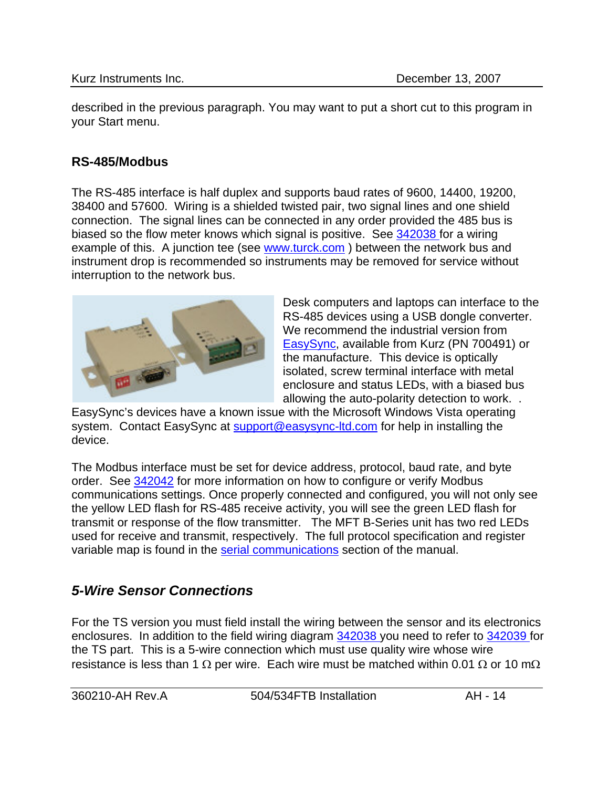described in the previous paragraph. You may want to put a short cut to this program in your Start menu.

## **RS-485/Modbus**

The RS-485 interface is half duplex and supports baud rates of 9600, 14400, 19200, 38400 and 57600. Wiring is a shielded twisted pair, two signal lines and one shield connection. The signal lines can be connected in any order provided the 485 bus is biased so the flow meter knows which signal is positive. See 342038 for a wiring example of this. A junction tee (see www.turck.com) between the network bus and instrument drop is recommended so instruments may be removed for service without interruption to the network bus.



Desk computers and laptops can interface to the RS-485 devices using a USB dongle converter. We recommend the industrial version from [EasySync,](http://www.easysync.co.uk/) available from Kurz (PN 700491) or the manufacture. This device is optically isolated, screw terminal interface with metal enclosure and status LEDs, with a biased bus allowing the auto-polarity detection to work. .

EasySync's devices have a known issue with the Microsoft Windows Vista operating system. Contact EasySync at [support@easysync-ltd.com](mailto:support@easysync-ltd.com) for help in installing the device.

The Modbus interface must be set for device address, protocol, baud rate, and byte order. See 342042 for more information on how to configure or verify Modbus communications settings. Once properly connected and configured, you will not only see the yellow LED flash for RS-485 receive activity, you will see the green LED flash for transmit or response of the flow transmitter. The MFT B-Series unit has two red LEDs used for receive and transmit, respectively. The full protocol specification and register variable map is found in the serial communications section of the manual.

# *5-Wire Sensor Connections*

For the TS version you must field install the wiring between the sensor and its electronics enclosures. In addition to the field wiring diagram 342038 you need to refer to 342039 for the TS part. This is a 5-wire connection which must use quality wire whose wire resistance is less than 1  $\Omega$  per wire. Each wire must be matched within 0.01  $\Omega$  or 10 m $\Omega$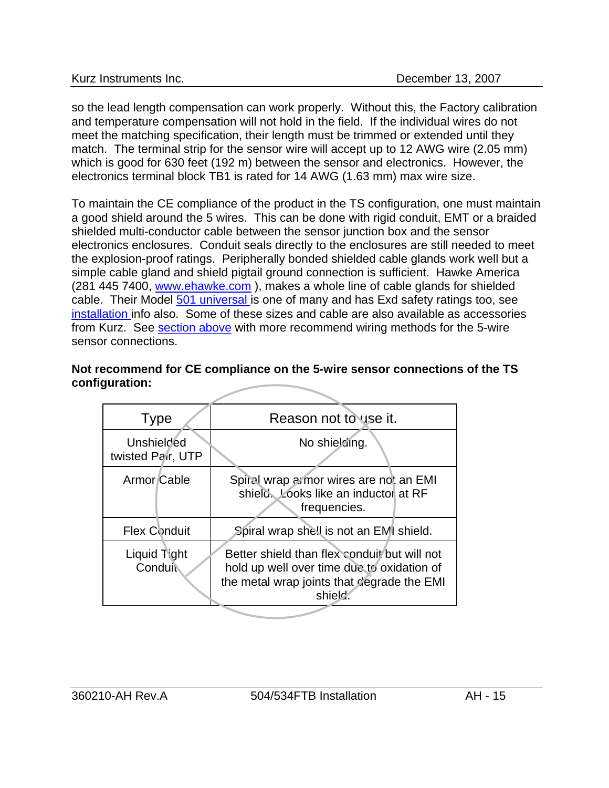<span id="page-14-0"></span>so the lead length compensation can work properly. Without this, the Factory calibration and temperature compensation will not hold in the field. If the individual wires do not meet the matching specification, their length must be trimmed or extended until they match. The terminal strip for the sensor wire will accept up to 12 AWG wire (2.05 mm) which is good for 630 feet (192 m) between the sensor and electronics. However, the electronics terminal block TB1 is rated for 14 AWG (1.63 mm) max wire size.

To maintain the CE compliance of the product in the TS configuration, one must maintain a good shield around the 5 wires. This can be done with rigid conduit, EMT or a braided shielded multi-conductor cable between the sensor junction box and the sensor electronics enclosures. Conduit seals directly to the enclosures are still needed to meet the explosion-proof ratings. Peripherally bonded shielded cable glands work well but a simple cable gland and shield pigtail ground connection is sufficient. Hawke America (281 445 7400, [www.ehawke.com](http://www.ehawke.com/) ), makes a whole line of cable glands for shielded cable. Their Model 501 universal is one of many and has Exd safety ratings too, see installation info also. Some of these sizes and cable are also available as accessories from Kurz. See [section above](#page-8-0) with more recommend wiring methods for the 5-wire sensor connections.

## **Not recommend for CE compliance on the 5-wire sensor connections of the TS configuration:**

| <b>Type</b>                            | Reason not to use it.                                                                                                                               |
|----------------------------------------|-----------------------------------------------------------------------------------------------------------------------------------------------------|
| <b>Unshielded</b><br>twisted Pair, UTP | No shielding.                                                                                                                                       |
| Armor Cable                            | Spiral wrap armor wires are not an EMI<br>shield. Looks like an inductor at RF<br>frequencies.                                                      |
| <b>Flex Conduit</b>                    | Spiral wrap shell is not an EMI shield.                                                                                                             |
| Liquid Tight<br>Conduit                | Better shield than flex conduit but will not<br>hold up well over time due to oxidation of<br>the metal wrap joints that degrade the EMI<br>shield. |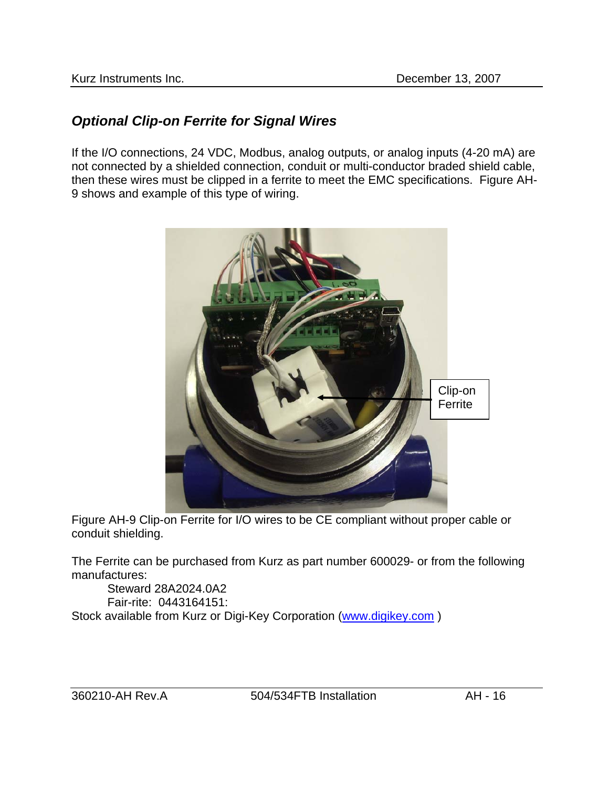## *Optional Clip-on Ferrite for Signal Wires*

If the I/O connections, 24 VDC, Modbus, analog outputs, or analog inputs (4-20 mA) are not connected by a shielded connection, conduit or multi-conductor braded shield cable, then these wires must be clipped in a ferrite to meet the EMC specifications. Figure AH-9 shows and example of this type of wiring.



Figure AH-9 Clip-on Ferrite for I/O wires to be CE compliant without proper cable or conduit shielding.

The Ferrite can be purchased from Kurz as part number 600029- or from the following manufactures:

Steward 28A2024.0A2 Fair-rite: 0443164151: Stock available from Kurz or Digi-Key Corporation [\(www.digikey.com](http://www.digikey.com/) )

360210-AH Rev.A 504/534FTB Installation AH - 16